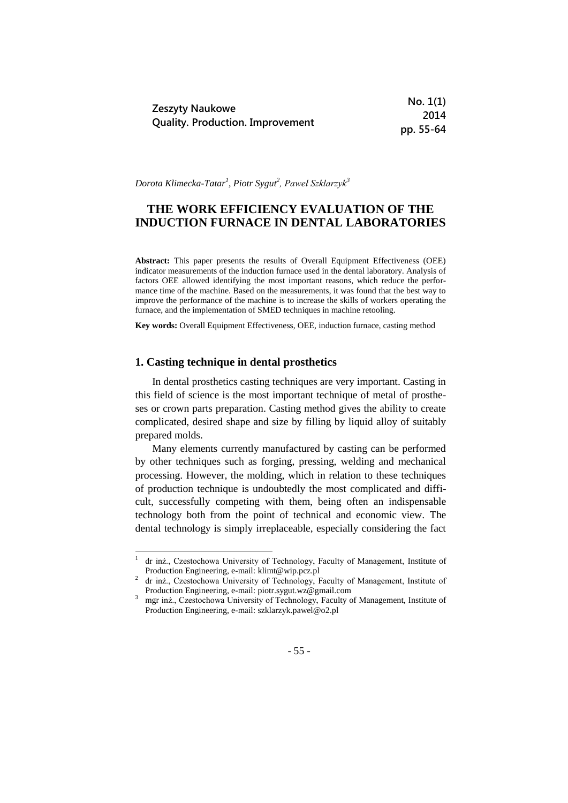|                                                                   | No. 1(1)  |
|-------------------------------------------------------------------|-----------|
| <b>Zeszyty Naukowe</b><br><b>Quality. Production. Improvement</b> | 2014      |
|                                                                   | pp. 55-64 |

*Dorota Klimecka-Tatar<sup>1</sup> , Piotr Sygut<sup>2</sup> , Paweł Szklarzyk<sup>3</sup>*

# **THE WORK EFFICIENCY EVALUATION OF THE INDUCTION FURNACE IN DENTAL LABORATORIES**

**Abstract:** This paper presents the results of Overall Equipment Effectiveness (OEE) indicator measurements of the induction furnace used in the dental laboratory. Analysis of factors OEE allowed identifying the most important reasons, which reduce the performance time of the machine. Based on the measurements, it was found that the best way to improve the performance of the machine is to increase the skills of workers operating the furnace, and the implementation of SMED techniques in machine retooling.

**Key words:** Overall Equipment Effectiveness, OEE, induction furnace, casting method

### **1. Casting technique in dental prosthetics**

1

In dental prosthetics casting techniques are very important. Casting in this field of science is the most important technique of metal of prostheses or crown parts preparation. Casting method gives the ability to create complicated, desired shape and size by filling by liquid alloy of suitably prepared molds.

Many elements currently manufactured by casting can be performed by other techniques such as forging, pressing, welding and mechanical processing. However, the molding, which in relation to these techniques of production technique is undoubtedly the most complicated and difficult, successfully competing with them, being often an indispensable technology both from the point of technical and economic view. The dental technology is simply irreplaceable, especially considering the fact

<sup>1</sup> dr inż., Czestochowa University of Technology, Faculty of Management, Institute of Production Engineering, e-mail: klimt@wip.pcz.pl

<sup>&</sup>lt;sup>2</sup> dr inż., Czestochowa University of Technology, Faculty of Management, Institute of Production Engineering, e-mail: piotr.sygut.wz@gmail.com

<sup>3</sup> mgr inż., Czestochowa University of Technology, Faculty of Management, Institute of Production Engineering, e-mail: szklarzyk.pawel@o2.pl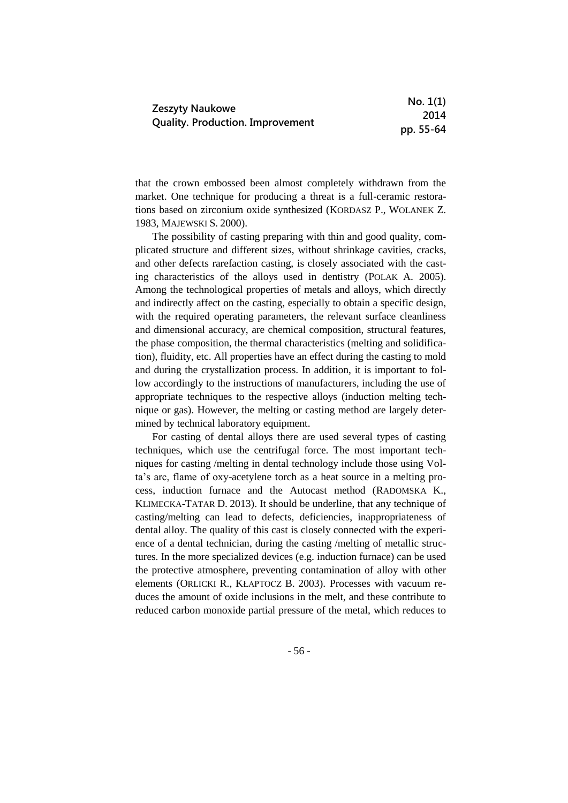| <b>Zeszyty Naukowe</b><br><b>Quality. Production. Improvement</b> | No. 1(1)  |
|-------------------------------------------------------------------|-----------|
|                                                                   | 2014      |
|                                                                   | pp. 55-64 |

that the crown embossed been almost completely withdrawn from the market. One technique for producing a threat is a full-ceramic restorations based on zirconium oxide synthesized (KORDASZ P., WOLANEK Z. 1983, MAJEWSKI S. 2000).

The possibility of casting preparing with thin and good quality, complicated structure and different sizes, without shrinkage cavities, cracks, and other defects rarefaction casting, is closely associated with the casting characteristics of the alloys used in dentistry (POLAK A. 2005). Among the technological properties of metals and alloys, which directly and indirectly affect on the casting, especially to obtain a specific design, with the required operating parameters, the relevant surface cleanliness and dimensional accuracy, are chemical composition, structural features, the phase composition, the thermal characteristics (melting and solidification), fluidity, etc. All properties have an effect during the casting to mold and during the crystallization process. In addition, it is important to follow accordingly to the instructions of manufacturers, including the use of appropriate techniques to the respective alloys (induction melting technique or gas). However, the melting or casting method are largely determined by technical laboratory equipment.

For casting of dental alloys there are used several types of casting techniques, which use the centrifugal force. The most important techniques for casting /melting in dental technology include those using Volta's arc, flame of oxy-acetylene torch as a heat source in a melting process, induction furnace and the Autocast method (RADOMSKA K., KLIMECKA-TATAR D. 2013). It should be underline, that any technique of casting/melting can lead to defects, deficiencies, inappropriateness of dental alloy. The quality of this cast is closely connected with the experience of a dental technician, during the casting /melting of metallic structures. In the more specialized devices (e.g. induction furnace) can be used the protective atmosphere, preventing contamination of alloy with other elements (ORLICKI R., KŁAPTOCZ B. 2003). Processes with vacuum reduces the amount of oxide inclusions in the melt, and these contribute to reduced carbon monoxide partial pressure of the metal, which reduces to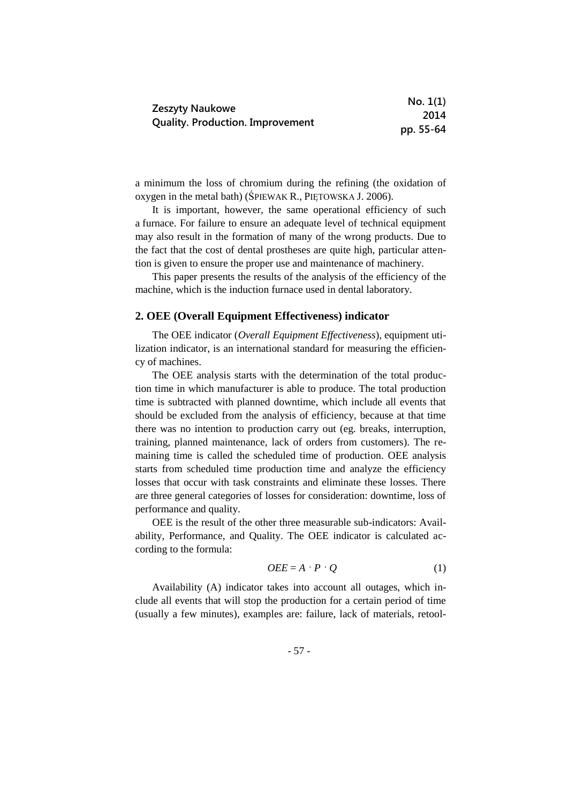|                                                            | No. 1(1)  |
|------------------------------------------------------------|-----------|
| Zeszyty Naukowe<br><b>Quality. Production. Improvement</b> | 2014      |
|                                                            | pp. 55-64 |

a minimum the loss of chromium during the refining (the oxidation of oxygen in the metal bath) (ŚPIEWAK R., PIĘTOWSKA J. 2006).

It is important, however, the same operational efficiency of such a furnace. For failure to ensure an adequate level of technical equipment may also result in the formation of many of the wrong products. Due to the fact that the cost of dental prostheses are quite high, particular attention is given to ensure the proper use and maintenance of machinery.

This paper presents the results of the analysis of the efficiency of the machine, which is the induction furnace used in dental laboratory.

### **2. OEE (Overall Equipment Effectiveness) indicator**

The OEE indicator (*Overall Equipment Effectiveness*), equipment utilization indicator, is an international standard for measuring the efficiency of machines.

The OEE analysis starts with the determination of the total production time in which manufacturer is able to produce. The total production time is subtracted with planned downtime, which include all events that should be excluded from the analysis of efficiency, because at that time there was no intention to production carry out (eg. breaks, interruption, training, planned maintenance, lack of orders from customers). The remaining time is called the scheduled time of production. OEE analysis starts from scheduled time production time and analyze the efficiency losses that occur with task constraints and eliminate these losses. There are three general categories of losses for consideration: downtime, loss of performance and quality.

OEE is the result of the other three measurable sub-indicators: Availability, Performance, and Quality. The OEE indicator is calculated according to the formula:

$$
OEE = A \cdot P \cdot Q \tag{1}
$$

Availability (A) indicator takes into account all outages, which include all events that will stop the production for a certain period of time (usually a few minutes), examples are: failure, lack of materials, retool-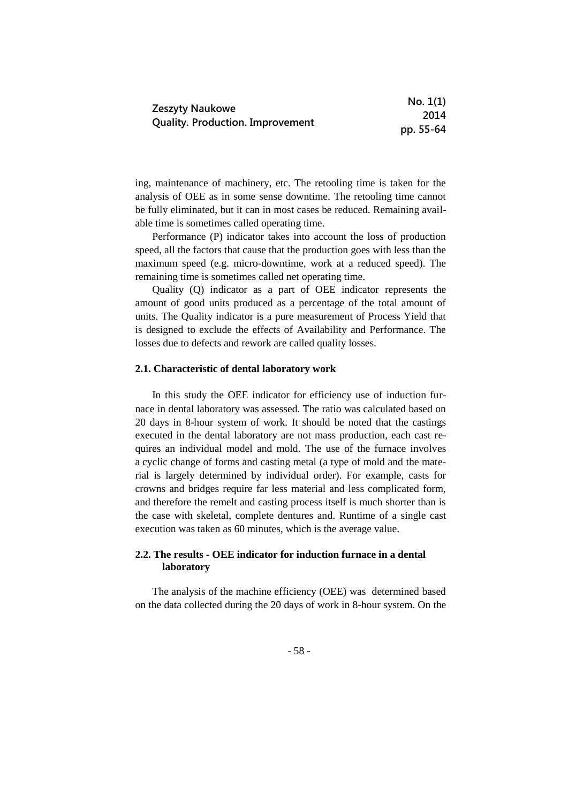| Zeszyty Naukowe<br><b>Quality. Production. Improvement</b> | No. 1(1)  |
|------------------------------------------------------------|-----------|
|                                                            | 2014      |
|                                                            | pp. 55-64 |

ing, maintenance of machinery, etc. The retooling time is taken for the analysis of OEE as in some sense downtime. The retooling time cannot be fully eliminated, but it can in most cases be reduced. Remaining available time is sometimes called operating time.

Performance (P) indicator takes into account the loss of production speed, all the factors that cause that the production goes with less than the maximum speed (e.g. micro-downtime, work at a reduced speed). The remaining time is sometimes called net operating time.

Quality (Q) indicator as a part of OEE indicator represents the amount of good units produced as a percentage of the total amount of units. The Quality indicator is a pure measurement of Process Yield that is designed to exclude the effects of Availability and Performance. The losses due to defects and rework are called quality losses.

#### **2.1. Characteristic of dental laboratory work**

In this study the OEE indicator for efficiency use of induction furnace in dental laboratory was assessed. The ratio was calculated based on 20 days in 8-hour system of work. It should be noted that the castings executed in the dental laboratory are not mass production, each cast requires an individual model and mold. The use of the furnace involves a cyclic change of forms and casting metal (a type of mold and the material is largely determined by individual order). For example, casts for crowns and bridges require far less material and less complicated form, and therefore the remelt and casting process itself is much shorter than is the case with skeletal, complete dentures and. Runtime of a single cast execution was taken as 60 minutes, which is the average value.

## **2.2. The results - OEE indicator for induction furnace in a dental laboratory**

The analysis of the machine efficiency (OEE) was determined based on the data collected during the 20 days of work in 8-hour system. On the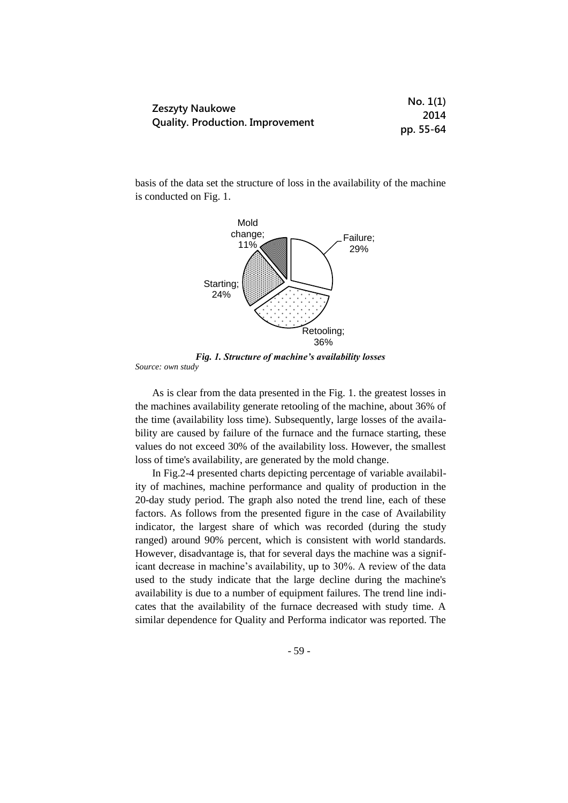|                                                            | No. 1(1)  |
|------------------------------------------------------------|-----------|
| Zeszyty Naukowe<br><b>Quality. Production. Improvement</b> | 2014      |
|                                                            | pp. 55-64 |

basis of the data set the structure of loss in the availability of the machine is conducted on Fig. 1.



*Fig. 1. Structure of machine's availability losses* 

*Source: own study*

As is clear from the data presented in the Fig. 1. the greatest losses in the machines availability generate retooling of the machine, about 36% of the time (availability loss time). Subsequently, large losses of the availability are caused by failure of the furnace and the furnace starting, these values do not exceed 30% of the availability loss. However, the smallest loss of time's availability, are generated by the mold change.

In Fig.2-4 presented charts depicting percentage of variable availability of machines, machine performance and quality of production in the 20-day study period. The graph also noted the trend line, each of these factors. As follows from the presented figure in the case of Availability indicator, the largest share of which was recorded (during the study ranged) around 90% percent, which is consistent with world standards. However, disadvantage is, that for several days the machine was a significant decrease in machine's availability, up to 30%. A review of the data used to the study indicate that the large decline during the machine's availability is due to a number of equipment failures. The trend line indicates that the availability of the furnace decreased with study time. A similar dependence for Quality and Performa indicator was reported. The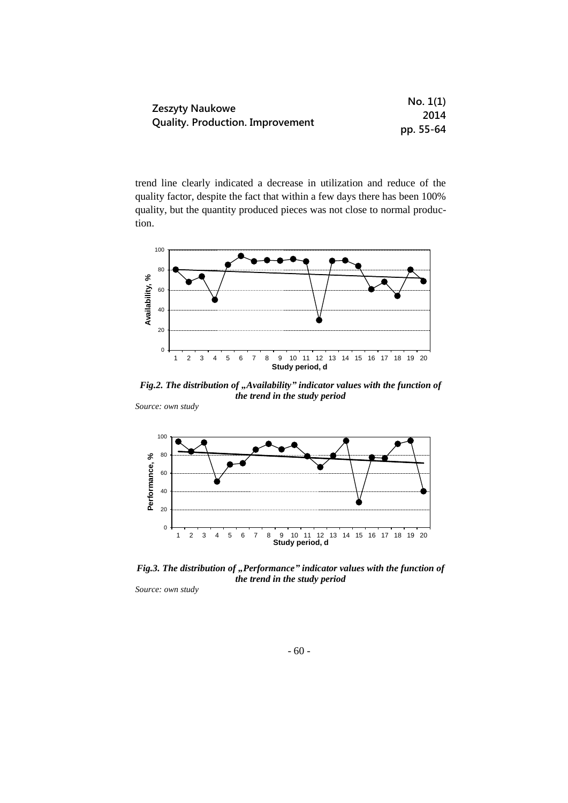|                                                            | No. 1(1)  |
|------------------------------------------------------------|-----------|
| Zeszyty Naukowe<br><b>Quality. Production. Improvement</b> | 2014      |
|                                                            | pp. 55-64 |

trend line clearly indicated a decrease in utilization and reduce of the quality factor, despite the fact that within a few days there has been 100% quality, but the quantity produced pieces was not close to normal production.



*Fig.2. The distribution of "Availability" indicator values with the function of the trend in the study period*

*Source: own study*



*Fig.3. The distribution of "Performance" indicator values with the function of the trend in the study period*

*Source: own study*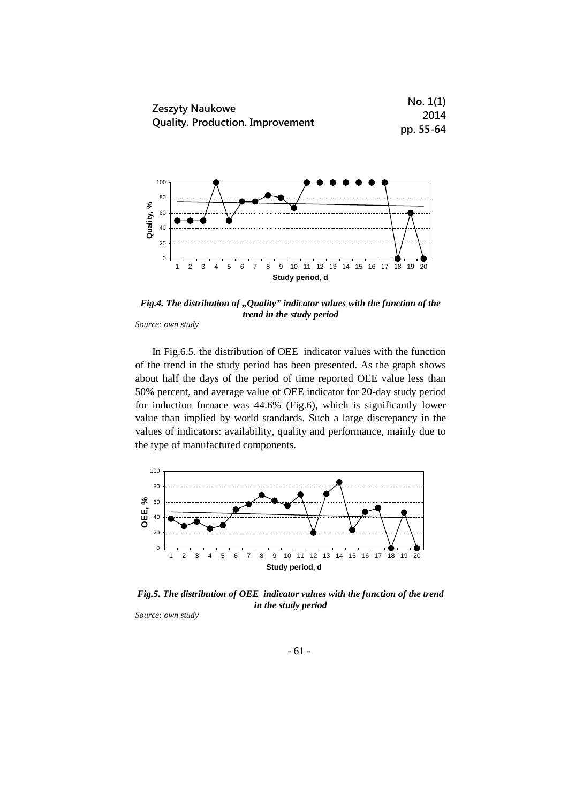



*Fig.4. The distribution of "Quality" indicator values with the function of the trend in the study period*

*Source: own study*

In Fig.6.5. the distribution of OEE indicator values with the function of the trend in the study period has been presented. As the graph shows about half the days of the period of time reported OEE value less than 50% percent, and average value of OEE indicator for 20-day study period for induction furnace was 44.6% (Fig.6), which is significantly lower value than implied by world standards. Such a large discrepancy in the values of indicators: availability, quality and performance, mainly due to the type of manufactured components.



*Fig.5. The distribution of OEE indicator values with the function of the trend in the study period*

*Source: own study*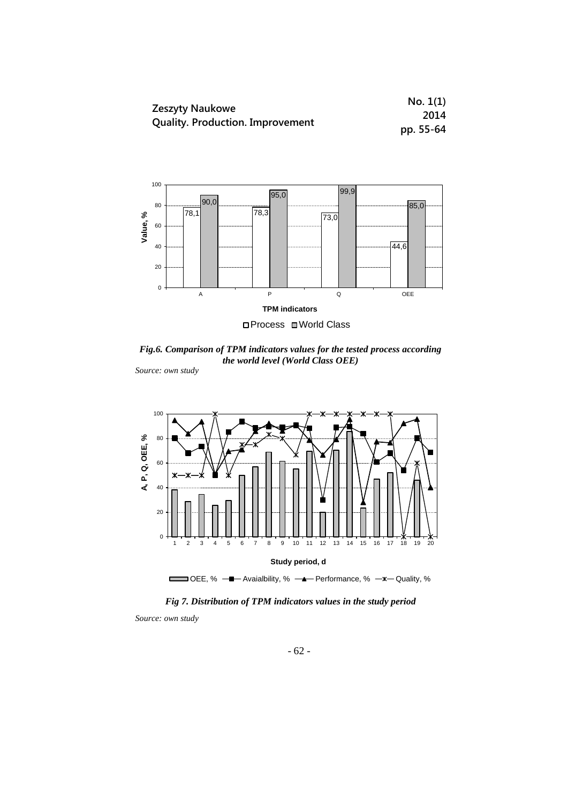|                                                                   | No. 1(1)  |
|-------------------------------------------------------------------|-----------|
| <b>Zeszyty Naukowe</b><br><b>Quality. Production. Improvement</b> | 2014      |
|                                                                   | pp. 55-64 |



*Fig.6. Comparison of TPM indicators values for the tested process according the world level (World Class OEE)*

*Source: own study*



*Fig 7. Distribution of TPM indicators values in the study period* 

*Source: own study*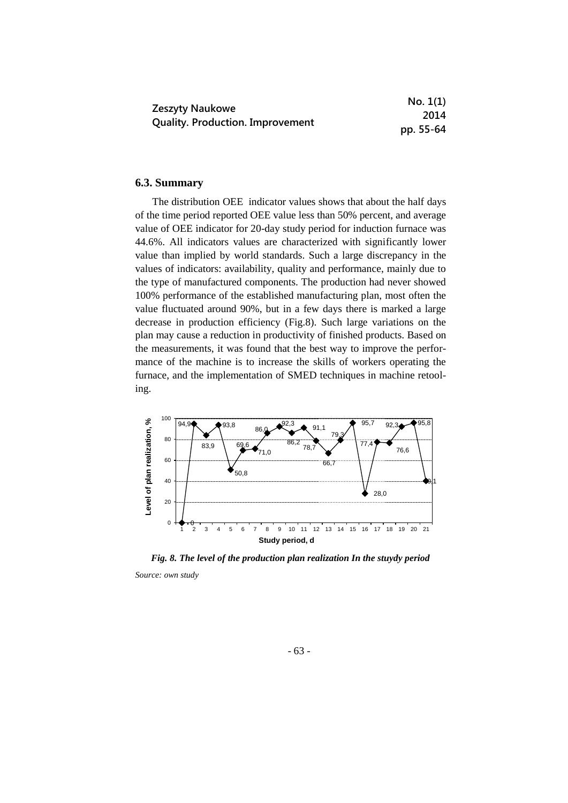|                                                            | No. 1(1)  |
|------------------------------------------------------------|-----------|
| Zeszyty Naukowe<br><b>Quality. Production. Improvement</b> | 2014      |
|                                                            | pp. 55-64 |

# **6.3. Summary**

The distribution OEE indicator values shows that about the half days of the time period reported OEE value less than 50% percent, and average value of OEE indicator for 20-day study period for induction furnace was 44.6%. All indicators values are characterized with significantly lower value than implied by world standards. Such a large discrepancy in the values of indicators: availability, quality and performance, mainly due to the type of manufactured components. The production had never showed 100% performance of the established manufacturing plan, most often the value fluctuated around 90%, but in a few days there is marked a large decrease in production efficiency (Fig.8). Such large variations on the plan may cause a reduction in productivity of finished products. Based on the measurements, it was found that the best way to improve the performance of the machine is to increase the skills of workers operating the furnace, and the implementation of SMED techniques in machine retooling.



*Fig. 8. The level of the production plan realization In the stuydy period Source: own study*